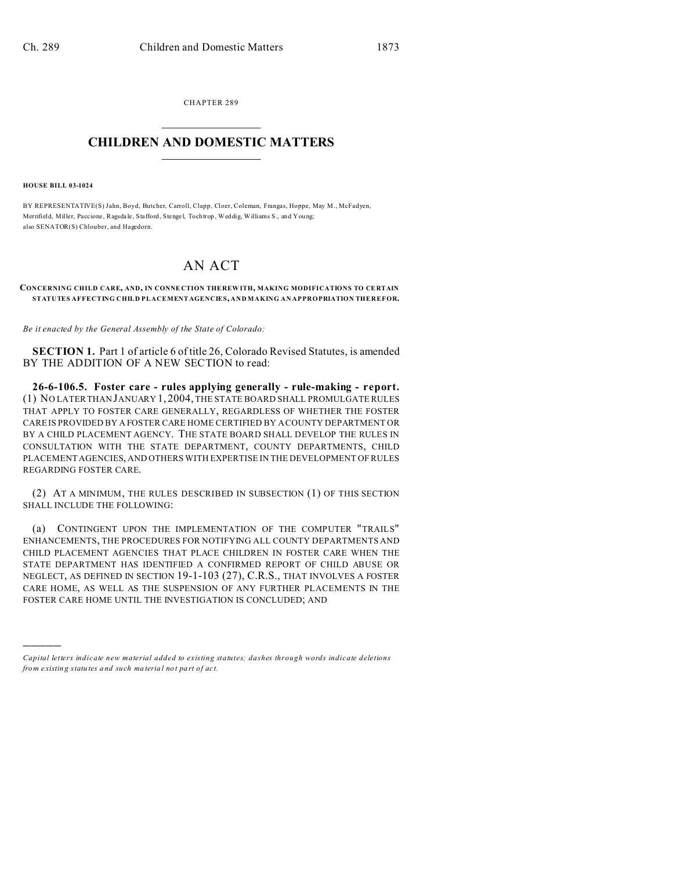CHAPTER 289  $\overline{\phantom{a}}$  , where  $\overline{\phantom{a}}$ 

## **CHILDREN AND DOMESTIC MATTERS**  $\_$

## **HOUSE BILL 03-1024**

)))))

BY REPRESENTATIVE(S) Jahn, Boyd, Butcher, Carroll, Clapp, Cloer, Coleman, Frangas, Hoppe, May M., McFadyen, Merrifield, Miller, Paccione, Ragsdale, Stafford, Stengel, Tochtrop, Weddig, Williams S., and Young; also SENATOR(S) Chlouber, and Hagedorn.

## AN ACT

## **CONCERNING CHILD CARE, AND, IN CONNE CTION THE REW ITH, MAKING MODIFICATIONS TO CE RTAIN STATUTES AFFECTING CHILD PLACEMENT AGENCIES, AND MAKING AN APPROPRIATION THEREFOR.**

*Be it enacted by the General Assembly of the State of Colorado:*

**SECTION 1.** Part 1 of article 6 of title 26, Colorado Revised Statutes, is amended BY THE ADDITION OF A NEW SECTION to read:

**26-6-106.5. Foster care - rules applying generally - rule-making - report.** (1) NO LATER THAN JANUARY 1, 2004, THE STATE BOARD SHALL PROMULGATE RULES THAT APPLY TO FOSTER CARE GENERALLY, REGARDLESS OF WHETHER THE FOSTER CARE IS PROVIDED BY A FOSTER CARE HOME CERTIFIED BY A COUNTY DEPARTMENT OR BY A CHILD PLACEMENT AGENCY. THE STATE BOARD SHALL DEVELOP THE RULES IN CONSULTATION WITH THE STATE DEPARTMENT, COUNTY DEPARTMENTS, CHILD PLACEMENT AGENCIES, AND OTHERS WITH EXPERTISE IN THE DEVELOPMENT OF RULES REGARDING FOSTER CARE.

(2) AT A MINIMUM, THE RULES DESCRIBED IN SUBSECTION (1) OF THIS SECTION SHALL INCLUDE THE FOLLOWING:

(a) CONTINGENT UPON THE IMPLEMENTATION OF THE COMPUTER "TRAILS" ENHANCEMENTS, THE PROCEDURES FOR NOTIFYING ALL COUNTY DEPARTMENTS AND CHILD PLACEMENT AGENCIES THAT PLACE CHILDREN IN FOSTER CARE WHEN THE STATE DEPARTMENT HAS IDENTIFIED A CONFIRMED REPORT OF CHILD ABUSE OR NEGLECT, AS DEFINED IN SECTION 19-1-103 (27), C.R.S., THAT INVOLVES A FOSTER CARE HOME, AS WELL AS THE SUSPENSION OF ANY FURTHER PLACEMENTS IN THE FOSTER CARE HOME UNTIL THE INVESTIGATION IS CONCLUDED; AND

*Capital letters indicate new material added to existing statutes; dashes through words indicate deletions from e xistin g statu tes a nd such ma teria l no t pa rt of ac t.*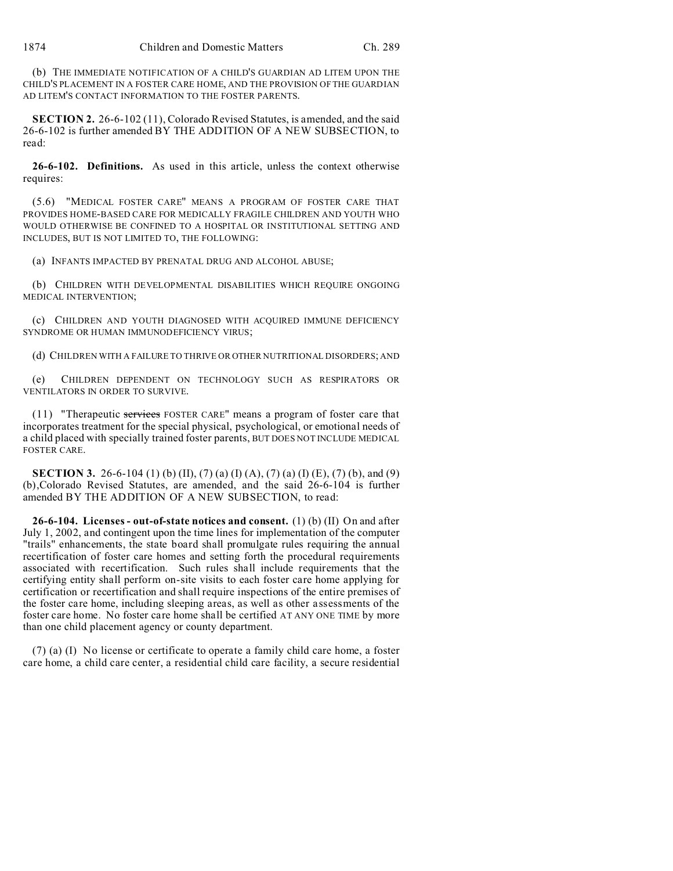(b) THE IMMEDIATE NOTIFICATION OF A CHILD'S GUARDIAN AD LITEM UPON THE CHILD'S PLACEMENT IN A FOSTER CARE HOME, AND THE PROVISION OF THE GUARDIAN AD LITEM'S CONTACT INFORMATION TO THE FOSTER PARENTS.

**SECTION 2.** 26-6-102 (11), Colorado Revised Statutes, is amended, and the said 26-6-102 is further amended BY THE ADDITION OF A NEW SUBSECTION, to read:

**26-6-102. Definitions.** As used in this article, unless the context otherwise requires:

(5.6) "MEDICAL FOSTER CARE" MEANS A PROGRAM OF FOSTER CARE THAT PROVIDES HOME-BASED CARE FOR MEDICALLY FRAGILE CHILDREN AND YOUTH WHO WOULD OTHERWISE BE CONFINED TO A HOSPITAL OR INSTITUTIONAL SETTING AND INCLUDES, BUT IS NOT LIMITED TO, THE FOLLOWING:

(a) INFANTS IMPACTED BY PRENATAL DRUG AND ALCOHOL ABUSE;

(b) CHILDREN WITH DEVELOPMENTAL DISABILITIES WHICH REQUIRE ONGOING MEDICAL INTERVENTION;

(c) CHILDREN AND YOUTH DIAGNOSED WITH ACQUIRED IMMUNE DEFICIENCY SYNDROME OR HUMAN IMMUNODEFICIENCY VIRUS;

(d) CHILDREN WITH A FAILURE TO THRIVE OR OTHER NUTRITIONAL DISORDERS; AND

(e) CHILDREN DEPENDENT ON TECHNOLOGY SUCH AS RESPIRATORS OR VENTILATORS IN ORDER TO SURVIVE.

(11) "Therapeutic services FOSTER CARE" means a program of foster care that incorporates treatment for the special physical, psychological, or emotional needs of a child placed with specially trained foster parents, BUT DOES NOT INCLUDE MEDICAL FOSTER CARE.

**SECTION 3.** 26-6-104 (1) (b) (II), (7) (a) (I) (A), (7) (a) (I) (E), (7) (b), and (9) (b),Colorado Revised Statutes, are amended, and the said 26-6-104 is further amended BY THE ADDITION OF A NEW SUBSECTION, to read:

**26-6-104. Licenses - out-of-state notices and consent.** (1) (b) (II) On and after July 1, 2002, and contingent upon the time lines for implementation of the computer "trails" enhancements, the state board shall promulgate rules requiring the annual recertification of foster care homes and setting forth the procedural requirements associated with recertification. Such rules shall include requirements that the certifying entity shall perform on-site visits to each foster care home applying for certification or recertification and shall require inspections of the entire premises of the foster care home, including sleeping areas, as well as other assessments of the foster care home. No foster care home shall be certified AT ANY ONE TIME by more than one child placement agency or county department.

(7) (a) (I) No license or certificate to operate a family child care home, a foster care home, a child care center, a residential child care facility, a secure residential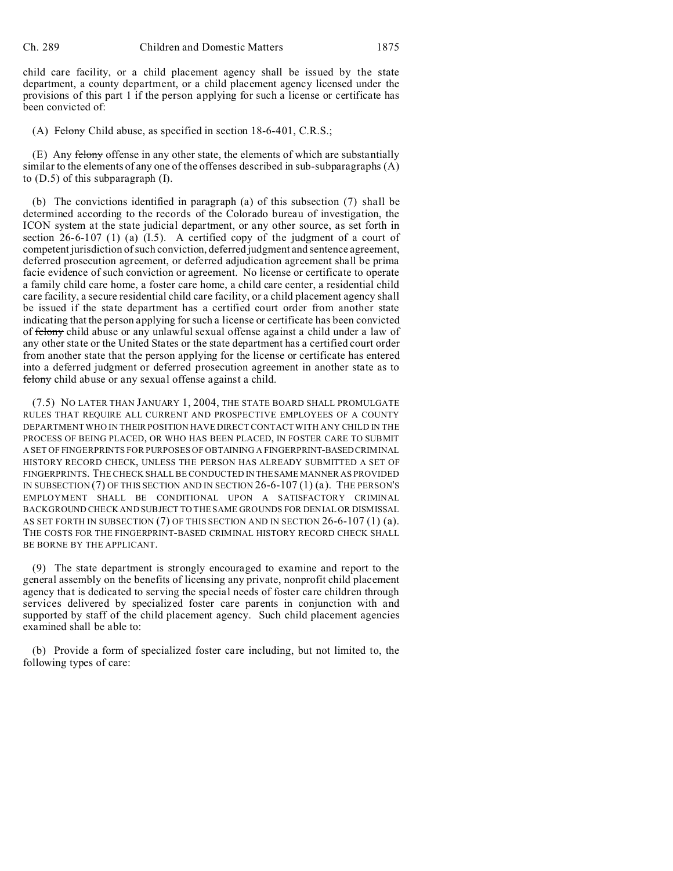child care facility, or a child placement agency shall be issued by the state department, a county department, or a child placement agency licensed under the provisions of this part 1 if the person applying for such a license or certificate has been convicted of:

(A) Felony Child abuse, as specified in section 18-6-401, C.R.S.;

(E) Any felony offense in any other state, the elements of which are substantially similar to the elements of any one of the offenses described in sub-subparagraphs (A) to (D.5) of this subparagraph (I).

(b) The convictions identified in paragraph (a) of this subsection (7) shall be determined according to the records of the Colorado bureau of investigation, the ICON system at the state judicial department, or any other source, as set forth in section  $26-6-107$  (1) (a)  $(I.5)$ . A certified copy of the judgment of a court of competent jurisdiction of such conviction, deferred judgment and sentence agreement, deferred prosecution agreement, or deferred adjudication agreement shall be prima facie evidence of such conviction or agreement. No license or certificate to operate a family child care home, a foster care home, a child care center, a residential child care facility, a secure residential child care facility, or a child placement agency shall be issued if the state department has a certified court order from another state indicating that the person applying for such a license or certificate has been convicted of felony child abuse or any unlawful sexual offense against a child under a law of any other state or the United States or the state department has a certified court order from another state that the person applying for the license or certificate has entered into a deferred judgment or deferred prosecution agreement in another state as to felony child abuse or any sexual offense against a child.

(7.5) NO LATER THAN JANUARY 1, 2004, THE STATE BOARD SHALL PROMULGATE RULES THAT REQUIRE ALL CURRENT AND PROSPECTIVE EMPLOYEES OF A COUNTY DEPARTMENT WHO IN THEIR POSITION HAVE DIRECT CONTACT WITH ANY CHILD IN THE PROCESS OF BEING PLACED, OR WHO HAS BEEN PLACED, IN FOSTER CARE TO SUBMIT A SET OF FINGERPRINTS FOR PURPOSES OF OBTAINING A FINGERPRINT-BASED CRIMINAL HISTORY RECORD CHECK, UNLESS THE PERSON HAS ALREADY SUBMITTED A SET OF FINGERPRINTS. THE CHECK SHALL BE CONDUCTED IN THESAME MANNER AS PROVIDED IN SUBSECTION (7) OF THIS SECTION AND IN SECTION 26-6-107 (1) (a). THE PERSON'S EMPLOYMENT SHALL BE CONDITIONAL UPON A SATISFACTORY CRIMINAL BACKGROUND CHECK AND SUBJECT TO THE SAME GROUNDS FOR DENIAL OR DISMISSAL AS SET FORTH IN SUBSECTION (7) OF THIS SECTION AND IN SECTION 26-6-107 (1) (a). THE COSTS FOR THE FINGERPRINT-BASED CRIMINAL HISTORY RECORD CHECK SHALL BE BORNE BY THE APPLICANT.

(9) The state department is strongly encouraged to examine and report to the general assembly on the benefits of licensing any private, nonprofit child placement agency that is dedicated to serving the special needs of foster care children through services delivered by specialized foster care parents in conjunction with and supported by staff of the child placement agency. Such child placement agencies examined shall be able to:

(b) Provide a form of specialized foster care including, but not limited to, the following types of care: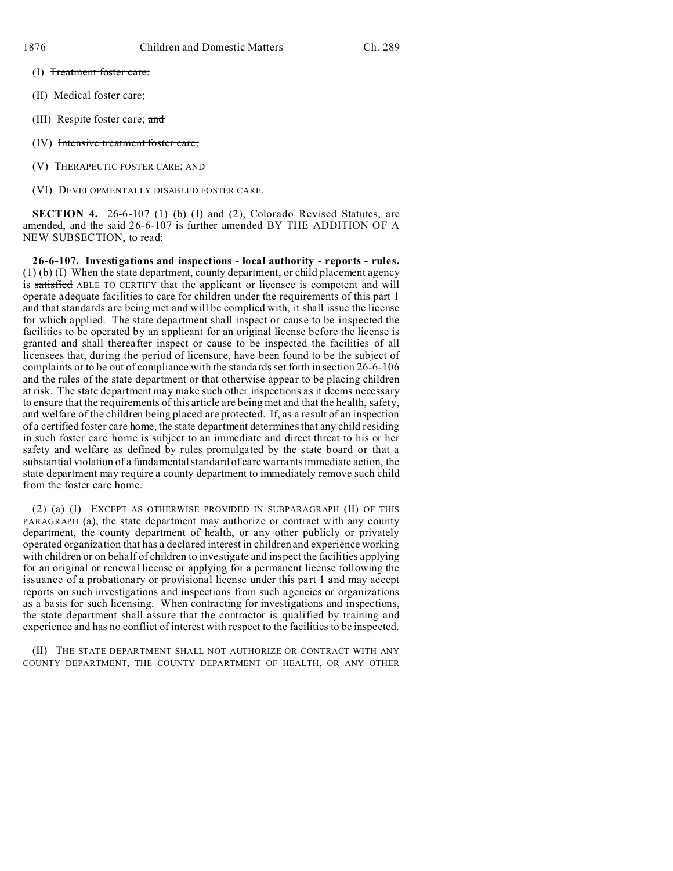- (I) Treatment foster care;
- (II) Medical foster care;
- (III) Respite foster care; and
- (IV) Intensive treatment foster care;
- (V) THERAPEUTIC FOSTER CARE; AND
- (VI) DEVELOPMENTALLY DISABLED FOSTER CARE.

**SECTION 4.** 26-6-107 (1) (b) (I) and (2), Colorado Revised Statutes, are amended, and the said 26-6-107 is further amended BY THE ADDITION OF A NEW SUBSECTION, to read:

**26-6-107. Investigations and inspections - local authority - reports - rules.** (1) (b) (I) When the state department, county department, or child placement agency is satisfied ABLE TO CERTIFY that the applicant or licensee is competent and will operate adequate facilities to care for children under the requirements of this part 1 and that standards are being met and will be complied with, it shall issue the license for which applied. The state department shall inspect or cause to be inspected the facilities to be operated by an applicant for an original license before the license is granted and shall thereafter inspect or cause to be inspected the facilities of all licensees that, during the period of licensure, have been found to be the subject of complaints or to be out of compliance with the standards set forth in section 26-6-106 and the rules of the state department or that otherwise appear to be placing children at risk. The state department may make such other inspections as it deems necessary to ensure that the requirements of this article are being met and that the health, safety, and welfare of the children being placed are protected. If, as a result of an inspection of a certified foster care home, the state department determines that any child residing in such foster care home is subject to an immediate and direct threat to his or her safety and welfare as defined by rules promulgated by the state board or that a substantial violation of a fundamental standard of care warrants immediate action, the state department may require a county department to immediately remove such child from the foster care home.

(2) (a) (I) EXCEPT AS OTHERWISE PROVIDED IN SUBPARAGRAPH (II) OF THIS PARAGRAPH (a), the state department may authorize or contract with any county department, the county department of health, or any other publicly or privately operated organization that has a declared interest in children and experience working with children or on behalf of children to investigate and inspect the facilities applying for an original or renewal license or applying for a permanent license following the issuance of a probationary or provisional license under this part 1 and may accept reports on such investigations and inspections from such agencies or organizations as a basis for such licensing. When contracting for investigations and inspections, the state department shall assure that the contractor is qualified by training and experience and has no conflict of interest with respect to the facilities to be inspected.

(II) THE STATE DEPARTMENT SHALL NOT AUTHORIZE OR CONTRACT WITH ANY COUNTY DEPARTMENT, THE COUNTY DEPARTMENT OF HEALTH, OR ANY OTHER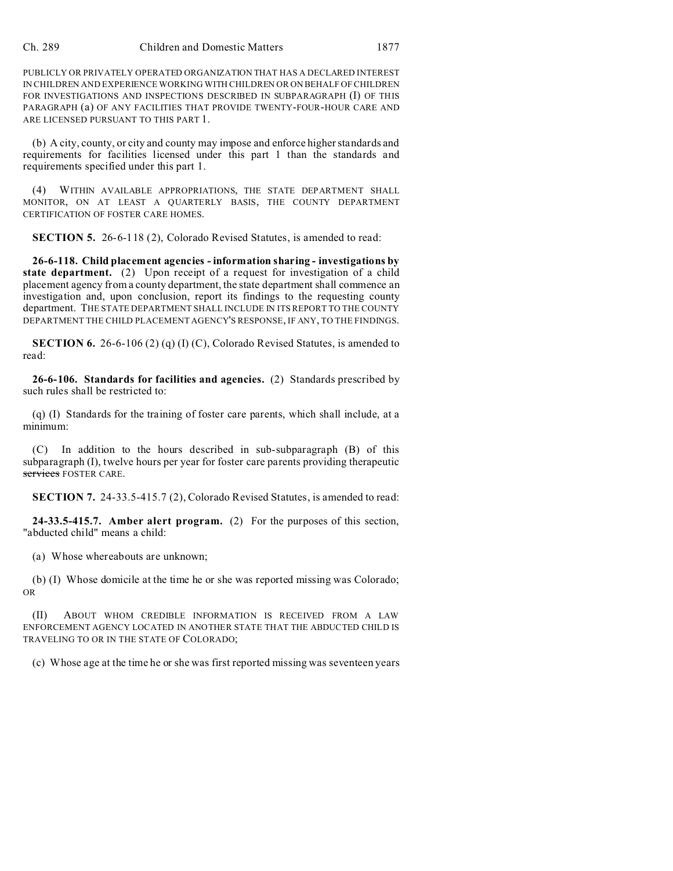PUBLICLY OR PRIVATELY OPERATED ORGANIZATION THAT HAS A DECLARED INTEREST IN CHILDREN AND EXPERIENCE WORKING WITH CHILDREN OR ON BEHALF OF CHILDREN FOR INVESTIGATIONS AND INSPECTIONS DESCRIBED IN SUBPARAGRAPH (I) OF THIS PARAGRAPH (a) OF ANY FACILITIES THAT PROVIDE TWENTY-FOUR-HOUR CARE AND ARE LICENSED PURSUANT TO THIS PART 1.

(b) A city, county, or city and county may impose and enforce higher standards and requirements for facilities licensed under this part 1 than the standards and requirements specified under this part 1.

WITHIN AVAILABLE APPROPRIATIONS, THE STATE DEPARTMENT SHALL MONITOR, ON AT LEAST A QUARTERLY BASIS, THE COUNTY DEPARTMENT CERTIFICATION OF FOSTER CARE HOMES.

**SECTION 5.** 26-6-118 (2), Colorado Revised Statutes, is amended to read:

**26-6-118. Child placement agencies - information sharing - investigations by state department.** (2) Upon receipt of a request for investigation of a child placement agency from a county department, the state department shall commence an investigation and, upon conclusion, report its findings to the requesting county department. THE STATE DEPARTMENT SHALL INCLUDE IN ITS REPORT TO THE COUNTY DEPARTMENT THE CHILD PLACEMENT AGENCY'S RESPONSE, IF ANY, TO THE FINDINGS.

**SECTION 6.** 26-6-106 (2) (q) (I) (C), Colorado Revised Statutes, is amended to read:

**26-6-106. Standards for facilities and agencies.** (2) Standards prescribed by such rules shall be restricted to:

(q) (I) Standards for the training of foster care parents, which shall include, at a minimum:

(C) In addition to the hours described in sub-subparagraph (B) of this subparagraph (I), twelve hours per year for foster care parents providing therapeutic services FOSTER CARE.

**SECTION 7.** 24-33.5-415.7 (2), Colorado Revised Statutes, is amended to read:

**24-33.5-415.7. Amber alert program.** (2) For the purposes of this section, "abducted child" means a child:

(a) Whose whereabouts are unknown;

(b) (I) Whose domicile at the time he or she was reported missing was Colorado; OR

(II) ABOUT WHOM CREDIBLE INFORMATION IS RECEIVED FROM A LAW ENFORCEMENT AGENCY LOCATED IN ANOTHER STATE THAT THE ABDUCTED CHILD IS TRAVELING TO OR IN THE STATE OF COLORADO;

(c) Whose age at the time he or she was first reported missing was seventeen years